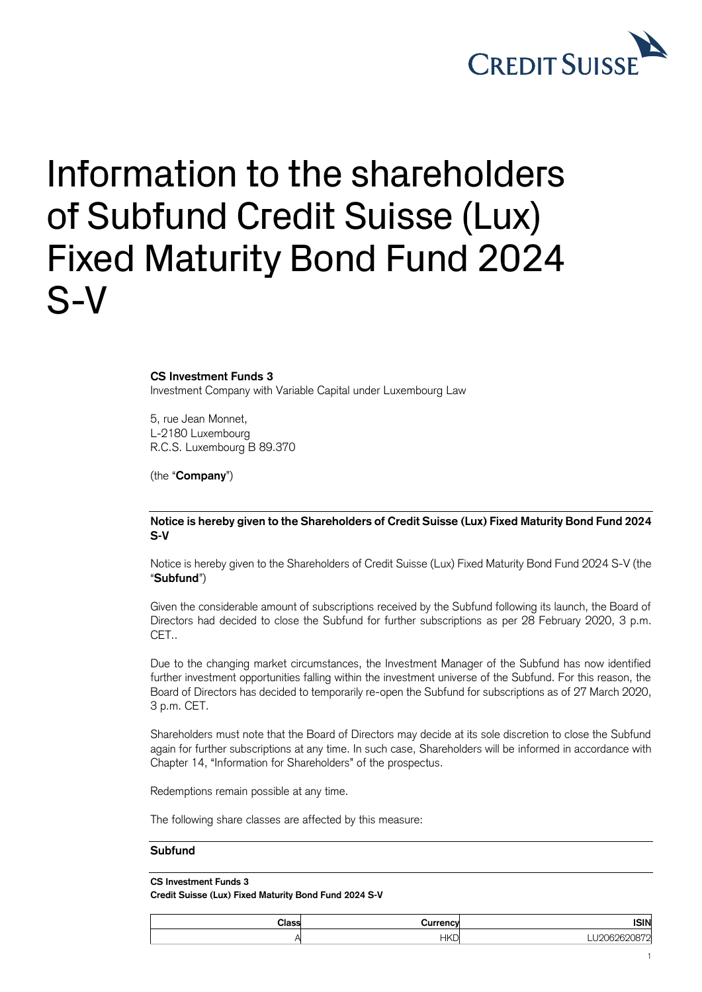

## Information to the shareholders of Subfund Credit Suisse (Lux) Fixed Maturity Bond Fund 2024 S-V

**CS Investment Funds 3**

Investment Company with Variable Capital under Luxembourg Law

5, rue Jean Monnet, L-2180 Luxembourg R.C.S. Luxembourg B 89.370

(the "**Company**")

## **Notice is hereby given to the Shareholders of Credit Suisse (Lux) Fixed Maturity Bond Fund 2024 S-V**

Notice is hereby given to the Shareholders of Credit Suisse (Lux) Fixed Maturity Bond Fund 2024 S-V (the "**Subfund**")

Given the considerable amount of subscriptions received by the Subfund following its launch, the Board of Directors had decided to close the Subfund for further subscriptions as per 28 February 2020, 3 p.m. CET..

Due to the changing market circumstances, the Investment Manager of the Subfund has now identified further investment opportunities falling within the investment universe of the Subfund. For this reason, the Board of Directors has decided to temporarily re-open the Subfund for subscriptions as of 27 March 2020, 3 p.m. CET.

Shareholders must note that the Board of Directors may decide at its sole discretion to close the Subfund again for further subscriptions at any time. In such case, Shareholders will be informed in accordance with Chapter 14, "Information for Shareholders" of the prospectus.

Redemptions remain possible at any time.

The following share classes are affected by this measure:

## **Subfund**

## **CS Investment Funds 3**

**Credit Suisse (Lux) Fixed Maturity Bond Fund 2024 S-V**

| <b>ISIN</b> | .          | Classi |
|-------------|------------|--------|
| ---         | <b>HKD</b> |        |